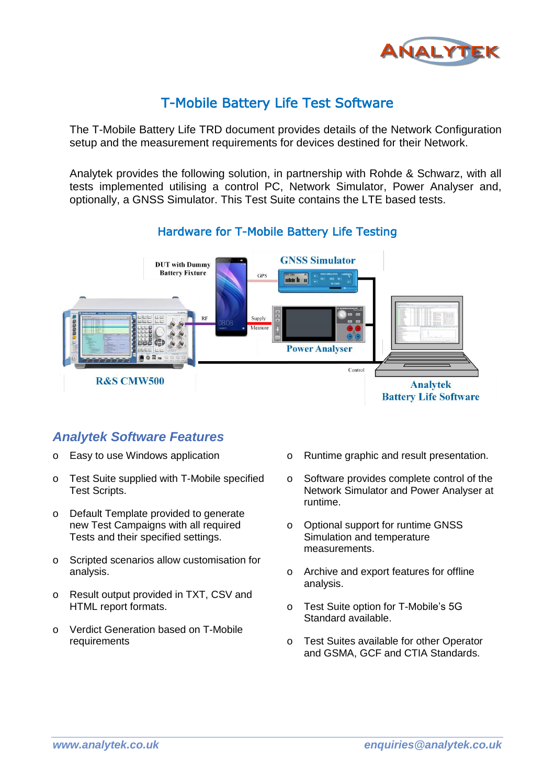

## T-Mobile Battery Life Test Software

The T-Mobile Battery Life TRD document provides details of the Network Configuration setup and the measurement requirements for devices destined for their Network.

Analytek provides the following solution, in partnership with Rohde & Schwarz, with all tests implemented utilising a control PC, Network Simulator, Power Analyser and, optionally, a GNSS Simulator. This Test Suite contains the LTE based tests.



#### Hardware for T-Mobile Battery Life Testing

### *Analytek Software Features*

- o Easy to use Windows application
- o Test Suite supplied with T-Mobile specified Test Scripts.
- o Default Template provided to generate new Test Campaigns with all required Tests and their specified settings.
- o Scripted scenarios allow customisation for analysis.
- o Result output provided in TXT, CSV and HTML report formats.
- o Verdict Generation based on T-Mobile requirements
- o Runtime graphic and result presentation.
- o Software provides complete control of the Network Simulator and Power Analyser at runtime.
- o Optional support for runtime GNSS Simulation and temperature measurements.
- o Archive and export features for offline analysis.
- o Test Suite option for T-Mobile's 5G Standard available.
- o Test Suites available for other Operator and GSMA, GCF and CTIA Standards.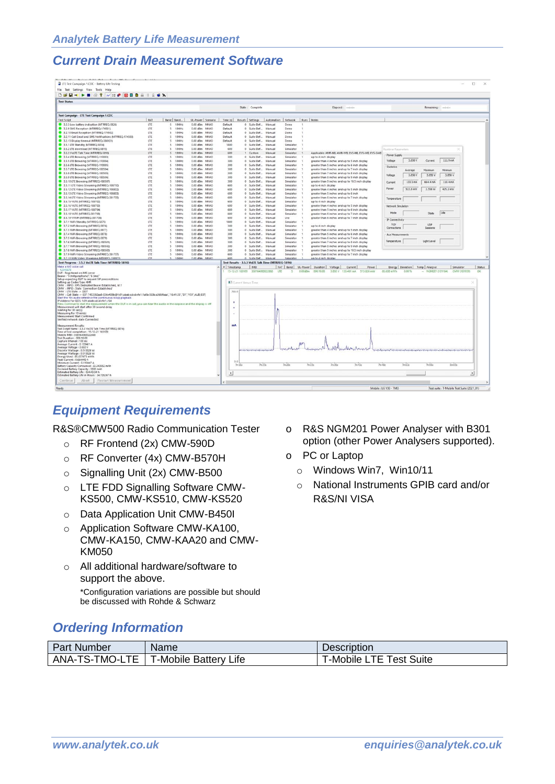#### *Current Drain Measurement Software*

| File Test Settings View Tools Help                                                                                                                                                                                                                                                                                                                                                                                                                                                                                                                                                                                   |            |                                   |                                          |                        |                                                                                                                                                                                                                                                  |                  |                        |         |                                                                                                                   |                           |                                                                |                                  |           |
|----------------------------------------------------------------------------------------------------------------------------------------------------------------------------------------------------------------------------------------------------------------------------------------------------------------------------------------------------------------------------------------------------------------------------------------------------------------------------------------------------------------------------------------------------------------------------------------------------------------------|------------|-----------------------------------|------------------------------------------|------------------------|--------------------------------------------------------------------------------------------------------------------------------------------------------------------------------------------------------------------------------------------------|------------------|------------------------|---------|-------------------------------------------------------------------------------------------------------------------|---------------------------|----------------------------------------------------------------|----------------------------------|-----------|
| <b>D S B - - - - - 7 - - 0 B B - 1 2 6 X</b>                                                                                                                                                                                                                                                                                                                                                                                                                                                                                                                                                                         |            |                                   |                                          |                        |                                                                                                                                                                                                                                                  |                  |                        |         |                                                                                                                   |                           |                                                                |                                  |           |
| <b>Test Status</b>                                                                                                                                                                                                                                                                                                                                                                                                                                                                                                                                                                                                   |            |                                   |                                          |                        |                                                                                                                                                                                                                                                  |                  |                        |         |                                                                                                                   |                           |                                                                |                                  |           |
|                                                                                                                                                                                                                                                                                                                                                                                                                                                                                                                                                                                                                      |            |                                   |                                          |                        | State: Complete                                                                                                                                                                                                                                  |                  |                        |         | Elapsed: ------                                                                                                   |                           |                                                                | Remaining: -- Index              |           |
| Test Campaign - LTE Test Campaign 1.CDC                                                                                                                                                                                                                                                                                                                                                                                                                                                                                                                                                                              |            |                                   |                                          |                        |                                                                                                                                                                                                                                                  |                  |                        |         |                                                                                                                   |                           |                                                                |                                  |           |
| <b>Test Script</b>                                                                                                                                                                                                                                                                                                                                                                                                                                                                                                                                                                                                   | RAT        | Band Band                         | UL-Power Scenario                        | Time (s)               | Results Settings   Automation   Network   Runs   Notes                                                                                                                                                                                           |                  |                        |         |                                                                                                                   |                           |                                                                |                                  |           |
| 3.2.3 Low battery indication (MTRREQ-5826)                                                                                                                                                                                                                                                                                                                                                                                                                                                                                                                                                                           | LTE        | 10MHz<br>$\sim$                   | 0.00 dBm MIMO                            | Default                | 0 Suite Def., Manual                                                                                                                                                                                                                             |                  | Demo                   |         |                                                                                                                   |                           |                                                                |                                  |           |
| 3.2.9 SMS Reception (MTRREQ-174501)                                                                                                                                                                                                                                                                                                                                                                                                                                                                                                                                                                                  | LTE        | 10MHz<br>5                        | 0.00 dBm MIMO                            | Default                | 0 Suite Def., Manual                                                                                                                                                                                                                             |                  | Demo                   |         |                                                                                                                   |                           |                                                                |                                  |           |
| 3.2.10 Email Reception (MTRREQ-174502)                                                                                                                                                                                                                                                                                                                                                                                                                                                                                                                                                                               | <b>LTE</b> | 10MHz<br>$\sim$                   | 0.00 dBm MIMO                            | Default                | 0 Suite Def Manual                                                                                                                                                                                                                               |                  | Demo                   |         |                                                                                                                   |                           |                                                                |                                  |           |
| 3.2.11 Call Email and SMS Notifications IMTRREQ-174503)                                                                                                                                                                                                                                                                                                                                                                                                                                                                                                                                                              | LTE        | 10MHz<br>$\sim$                   | $0.00$ dBm<br>MIMO                       | Default                | 0 Suite Def., Manual                                                                                                                                                                                                                             |                  | Demo                   |         |                                                                                                                   |                           |                                                                |                                  |           |
| 3.2.13 Display timeout (MTRREQ-386101)                                                                                                                                                                                                                                                                                                                                                                                                                                                                                                                                                                               | LTE        | 10MHz<br>$\sim$                   | $0.00$ dBm<br>MIMO                       | Default                | 0 Suite Def Manual                                                                                                                                                                                                                               |                  | Demo                   |         |                                                                                                                   |                           |                                                                |                                  |           |
| 3.5.1 LTE Standby (MTRREQ-5814)                                                                                                                                                                                                                                                                                                                                                                                                                                                                                                                                                                                      | LTE        | 5<br>10MHz                        | $0.00$ dBm<br>MIMO                       | 1800                   | 0 Suite Def                                                                                                                                                                                                                                      | Manual           | Simulator              |         |                                                                                                                   |                           |                                                                |                                  |           |
| 3.5.2 LTE download (MTRREQ-5815)                                                                                                                                                                                                                                                                                                                                                                                                                                                                                                                                                                                     | LTE        | 10MHz<br>10MHz                    | $0.00$ dBm<br>MIMO<br>MIMO               | 600<br>600             | 0 Suite Def                                                                                                                                                                                                                                      | Manual<br>Manual | Simulator              |         |                                                                                                                   | <b>Runtime Parameters</b> |                                                                |                                  |           |
| 3.5.3 VolTE Talk Time (MTRREQ-5816)<br>3.5.4 LTE Browsing (MTRREQ-110003)                                                                                                                                                                                                                                                                                                                                                                                                                                                                                                                                            | LTE<br>LTE | s.<br>10MHz<br>-5                 | $0.00$ dBm<br>$0.00$ dfm<br>5,619,677    | 100                    | 1 Custom<br>0 Suite Def., Manual                                                                                                                                                                                                                 |                  | Simulator<br>Simulator |         | Applicable: AMR-NB, AMR-WB, EVS-NB, EVS-WB, EVS-SWB<br>up to 4 inch display                                       | Power Supply              |                                                                |                                  |           |
| 3.5.5 LTE Browsing (MTRREQ-110004)                                                                                                                                                                                                                                                                                                                                                                                                                                                                                                                                                                                   | LTE        | 10MHz<br>$\leq$                   | MIMO<br>$0.00$ dBm                       | too                    | 0 Suite Def., Manual                                                                                                                                                                                                                             |                  | Simulator              |         | greater than 4 inches and up to 5 inch display                                                                    | Voltage                   | 3.850 V<br>Current                                             | 111.9 mA                         |           |
| 3.5.6 LTE Browsing (MTRREQ-110005)                                                                                                                                                                                                                                                                                                                                                                                                                                                                                                                                                                                   | <b>LTE</b> | 10MHz<br>$\leq$                   | MIMO<br>$0.00$ dRm                       | too                    | O Suite Def.                                                                                                                                                                                                                                     | Manual           | Simulator              |         | greater than 5 inches and up to 6 inch display                                                                    |                           |                                                                |                                  |           |
| 3.5.7 LTE Browsing (MTRREQ-180504)                                                                                                                                                                                                                                                                                                                                                                                                                                                                                                                                                                                   | <b>LTE</b> | 10MHz<br>$\sim$                   | $0.00$ dBm<br>MIMO                       | 300                    | 0 Suite Def                                                                                                                                                                                                                                      | Manual           | Simulator              |         | greater than 6 inches and up to 7 inch display                                                                    | Statistics                | Maximum<br>Average                                             | Mrimum                           |           |
| 3.5.8 LTE Browsing (MTRREQ-180505)                                                                                                                                                                                                                                                                                                                                                                                                                                                                                                                                                                                   | LTE        | 10MHz<br>×                        | $0.00$ dBm<br><b>BAILEO</b>              | 300                    | 0 Suite Def                                                                                                                                                                                                                                      | Manual           | Simulator              |         | greater than 7 inches and up to 8 inch display                                                                    |                           |                                                                |                                  |           |
| 3.5.9 LTE Browsing (MTRREQ-180506)                                                                                                                                                                                                                                                                                                                                                                                                                                                                                                                                                                                   | LTE        | 10MHz<br>15                       | $0.00$ dfm<br>MIMO                       | 300                    | 0 Suite Def                                                                                                                                                                                                                                      | Manual           | Simulator              |         | greater than 8 inches and up to 9 inch display                                                                    | Voltage                   | 3.850 V<br>3.850 V                                             | 3.850 V                          |           |
| 3.5.10 LTE Browsing (MTRREQ-180507)                                                                                                                                                                                                                                                                                                                                                                                                                                                                                                                                                                                  | LTE        | 10MHz<br>×,                       | $0.00$ dBm<br>MIMO                       | 300                    | 0 Suite Def                                                                                                                                                                                                                                      | Manual           | Simulator              |         | greater than 9 inches and up to 10.5 inch display                                                                 | Current                   | 133.5 mA<br>664.4mA                                            | 110.4 mA                         |           |
| 3.5.11 LTE Video Streaming (MTRREQ-108710)                                                                                                                                                                                                                                                                                                                                                                                                                                                                                                                                                                           | LTE        | 10MHz<br>$\sim$                   | $0.00$ dBm<br>MIMO                       | 600                    | 0 Suite Def                                                                                                                                                                                                                                      | Manual           | Simulator              |         | up to 4 inch display                                                                                              |                           |                                                                |                                  |           |
| 3.5.12 LTE Video Streaming (MTRREQ-108802)                                                                                                                                                                                                                                                                                                                                                                                                                                                                                                                                                                           | LTE        | <b>TOMHz</b><br>$\sim$            | 0.00 dBm MIMO                            | 600                    | 0 Suite Def Manual                                                                                                                                                                                                                               |                  | Simulator              |         | greater than 4 inches and up to 5 inch display                                                                    | Powe                      | 513.8 mW<br>2.558 W                                            | $425.2$ m/W                      |           |
| 3.5.13 LTE Video Streaming (MTRREQ-108803)                                                                                                                                                                                                                                                                                                                                                                                                                                                                                                                                                                           | LTE        | $\sim$<br>108,642                 | 0.00 dBm MIMO                            | 600                    | 0 Suite Def., Manual                                                                                                                                                                                                                             |                  | Simulator              |         | greater than 5 inches and up to 6 inch                                                                            |                           |                                                                |                                  |           |
| 3.5.14 LTE Video Streaming (MTRREQ-381705)                                                                                                                                                                                                                                                                                                                                                                                                                                                                                                                                                                           | LTE        | 10MHz<br>$\sim$                   | 0.00 dBm MIMO                            | 600                    | 0 Suite Def., Manual                                                                                                                                                                                                                             |                  | Simulator              |         | greater than 6 inches and up to 7 inch display                                                                    | Temperature               |                                                                |                                  |           |
| 3.5.15 VILTE (MTRREQ-108702)                                                                                                                                                                                                                                                                                                                                                                                                                                                                                                                                                                                         | LTE        | 10MHz<br>$\overline{\phantom{a}}$ | 0.00 dBm MIMO                            | 600                    | 0 Suite Def., Manual                                                                                                                                                                                                                             |                  | Simulator              |         | up to 4 inch display                                                                                              |                           |                                                                |                                  |           |
| 3.5.16 VILTE IMTRREQ-108703)                                                                                                                                                                                                                                                                                                                                                                                                                                                                                                                                                                                         | LTE        | 10MHz<br>$\sim$                   | 0.00 dBm<br>MIMO                         | 600                    | 0 Suite Def                                                                                                                                                                                                                                      | Manual           | Simulator              |         | greater than 4 inches and up to 5 inch display                                                                    | Network Smulation         |                                                                |                                  |           |
| 3.5.17 VILTE IMTRREQ-108704)<br>3.5.18 VILTE (MTRREQ-381708)                                                                                                                                                                                                                                                                                                                                                                                                                                                                                                                                                         | LTE<br>LTE | 10MHz<br>$\sim$<br>10MHz          | $0.00$ dBm<br>MIMO<br>$0.00$ dBm<br>MIMO | 600<br>600             | 0 Suite Def., Manual                                                                                                                                                                                                                             | Manual           | Simulator<br>Simulator |         | greater than 5 inches and up to 6 inch display                                                                    | Mode                      | State.                                                         | Ide                              |           |
| 3.5.19 VIWIFI IMTRREQ-381709                                                                                                                                                                                                                                                                                                                                                                                                                                                                                                                                                                                         | LTE        | 5<br>10MHz<br>5                   | $0.00$ dBm<br>MIMO                       | 600                    | 0 Suite Def<br>0 Suite Def                                                                                                                                                                                                                       | Manual           | Live:                  |         | greater than 6 inches and up to 7 inch display                                                                    |                           |                                                                |                                  |           |
| 3.7.1 WiFi Standby (MTRREQ-5875)                                                                                                                                                                                                                                                                                                                                                                                                                                                                                                                                                                                     | LTE        | 10MHz<br>5                        | $0.00$ dBm<br>MIMO                       | 1800                   | 0 Suite Def                                                                                                                                                                                                                                      | Manual           | Simulator              |         | greater than 6 inches and up to 7 inch display                                                                    | IP Connectivity           |                                                                |                                  |           |
| 3.7.2 WiFi Browsing (MTRREQ-5876)                                                                                                                                                                                                                                                                                                                                                                                                                                                                                                                                                                                    | LTE        | 10MHz<br>-5                       | $0.00$ dBm<br><b>MIMO</b>                | 300                    | 0 Suite Def                                                                                                                                                                                                                                      | Manual           | Simulator              |         | up to 4 inch display                                                                                              | TCP                       | <b>SIDD</b>                                                    |                                  |           |
| 3.7.3 WiFi Browsing (MTRREQ-5877)                                                                                                                                                                                                                                                                                                                                                                                                                                                                                                                                                                                    | LTE        | 106,649<br>$\tilde{\mathbf{x}}$   | $0.00$ dBm<br>5,818,607                  | 300                    | 0 Suite Def                                                                                                                                                                                                                                      | Manual           | Simulator              |         | greater than 4 inches and up to 5 inch display                                                                    | Connections               | Sessions                                                       |                                  |           |
| 3.7.4 WiFi Browsing (MTRREQ-5878)                                                                                                                                                                                                                                                                                                                                                                                                                                                                                                                                                                                    | <b>ITF</b> | 10MHz<br>$\mathcal{L}$            | 0.00 dBm 84840                           | 300                    | 0 Suite Def                                                                                                                                                                                                                                      | Manual           | Consulation            |         | greater than 5 inches and up to 6 inch display                                                                    | Aux Measurements          |                                                                |                                  |           |
| 3.7.5 WiFi Browsing (MTRREQ-5879)                                                                                                                                                                                                                                                                                                                                                                                                                                                                                                                                                                                    | LTE        | 10MHz<br>$\sim$                   | 0.00 dBm MIMO                            | 300                    | 0 Suite Def                                                                                                                                                                                                                                      | Manual           | Simulator              |         | greater than 6 inches and up to 7 inch display                                                                    |                           |                                                                |                                  |           |
| 3.7.6 WiFi Browsing (MTRREQ-180501)                                                                                                                                                                                                                                                                                                                                                                                                                                                                                                                                                                                  | LTE        | 10MHz<br>$\lambda$                | $0.00$ dBm<br>MIMO                       | 300                    | 0 Suite Def                                                                                                                                                                                                                                      | Manual           | Simulator              |         | greater than 7 inches and up to 8 inch display                                                                    | Temperature               | LightLevel                                                     |                                  |           |
| 3.7.7 WiFi Browsing (MTRREQ-180502)                                                                                                                                                                                                                                                                                                                                                                                                                                                                                                                                                                                  | LTE        | 10MHz<br>$\leq$                   | $0.00$ dRm<br>MIMO                       | 300                    | 0 Suite Def Manual                                                                                                                                                                                                                               |                  | Simulator              |         | greater than 8 inches and up to 9 inch display                                                                    |                           |                                                                |                                  |           |
| 3.7.8 WiFi Browsing (MTRREQ-180503)                                                                                                                                                                                                                                                                                                                                                                                                                                                                                                                                                                                  | LYE        | 10MHz                             | $0.00$ dBm<br>MIMO                       | 300                    | 0 Suite Def                                                                                                                                                                                                                                      | Manual           | Simulator              |         | greater than 9 inches and up to 10.5 inch display                                                                 |                           |                                                                |                                  |           |
| 3.7.9 WiFi Video Streaming (MTRREQ-381707)                                                                                                                                                                                                                                                                                                                                                                                                                                                                                                                                                                           | <b>LTE</b> | 10MHz<br>$\leq$                   | 0.00 dBm MIMO                            | KOO                    | 0 Suite Def Manual                                                                                                                                                                                                                               |                  | Simulator              |         | greater than 6 inches and up to 7 inch display                                                                    |                           |                                                                |                                  |           |
| 1.7.10 Will Video Streaming (MTRREO-108807                                                                                                                                                                                                                                                                                                                                                                                                                                                                                                                                                                           | 1TF        | 106,646                           | 0.00 dBm MIMO                            | 600                    | Suite Def.                                                                                                                                                                                                                                       | Manual           | Simulator              |         | un to 4 inch display                                                                                              |                           |                                                                |                                  |           |
| Test Progress - 3.5.3 VolTE Talk Time (MTRREQ-5816)                                                                                                                                                                                                                                                                                                                                                                                                                                                                                                                                                                  |            |                                   |                                          |                        | Test Results - 3.5.3 Vol.TE Talk Time (MTRREQ-5816)                                                                                                                                                                                              |                  |                        |         |                                                                                                                   |                           |                                                                |                                  |           |
| Make a MO voice call<br>12345678                                                                                                                                                                                                                                                                                                                                                                                                                                                                                                                                                                                     |            |                                   |                                          | # Timestamp            | IMEI<br>15-12-21 165109 358164080022868                                                                                                                                                                                                          | LTE              |                        | 0.00dBm | RAT   Band   UL-Power   Duration   Voltage   Current  <br>Power<br>000:10:00<br>3.850 V 133.461 mA<br>\$13,826 mW | 85.638 mWh                | Energy Deviation Temp Analyser<br>0.00%<br>$-$ NGM201 (101154) | Simulator<br><b>CMW (161959)</b> | Status    |
| DUT : Registered on IMS server<br>Bearer: 'S (nxtgenphone)', '6 (ims)'<br>Setup expecting DUT to request SIP preconditions<br>Setting up Codec Type AMR<br>CMW : INFO : EPS Dedicated Bearer Established, 1d 7                                                                                                                                                                                                                                                                                                                                                                                                       |            |                                   |                                          | 700.0                  | El Cummt Versus Time                                                                                                                                                                                                                             |                  |                        |         |                                                                                                                   |                           |                                                                |                                  |           |
|                                                                                                                                                                                                                                                                                                                                                                                                                                                                                                                                                                                                                      |            |                                   |                                          | ٠<br>٠                 |                                                                                                                                                                                                                                                  |                  |                        |         |                                                                                                                   |                           |                                                                |                                  |           |
| CMW: INFO: State 'Connection Established'<br>CMW: LTE State -> CEST<br>CMW : Call State -> EST ('453382aa8-036e438b@fc01:abab:cdcd:efe1:1a0b:553b:a368:faaa","16:41:33","51",'VS1",AUD,EST)<br>Start the 10s audio reference file (continuous loop) playback<br>IP Address for QOS: fc01:abab:cdcd:efe1:/64<br>Press Continue to start the measurement when the DUT is in call, you can hear the audio in the earpiece and the display is off<br>Measurement will start after 30 second delay<br>Waiting for 30 sec(s)<br>Measuring for 10 min(s)<br>Measurement Start Confirmed<br>Verified network state Connected |            |                                   |                                          |                        |                                                                                                                                                                                                                                                  |                  |                        |         |                                                                                                                   |                           |                                                                |                                  |           |
| Measurement Results:<br>Test Script Name: 3.5.3 VolTE Talk Time (MTRREQ-5816)<br>Time of test completion: 15-12-21 165109<br>Mobile IMEI: 358164080022868<br>Test Duration: 000:10:00<br>Capture Interval: 100 ms<br>Average Current: 0.133461 A<br>Average Voltage : 3.850 V<br>Discrete Wattage: 0.513826 W<br>Average Wattage: 0.513826 W<br>Energy Used: 85.637673 mWh                                                                                                                                                                                                                                           |            |                                   |                                          | mA                     | <b><i><u>University of Contractor And American Property of The Contractor And The Contractor Of The Contractor And The Contractor And The Contractor And The Contractor And The Contractor And The Contractor And The Contractor And</u></i></b> |                  |                        |         |                                                                                                                   |                           |                                                                |                                  |           |
| Peak Current : 0.664449 A<br>Minimum Current: 0.110447 A<br>Battery Capacity Consumed: 22.243552 mAh                                                                                                                                                                                                                                                                                                                                                                                                                                                                                                                 |            |                                   |                                          | 0.0                    | 7n23s<br>$2m$ 18s                                                                                                                                                                                                                                |                  | 7m28s                  |         | 7m33<br>7m38s<br>7n43s<br>7m48s                                                                                   |                           | 7m53s<br>7mS8s                                                 | Bm03s                            |           |
| Declared Battery Capacity: 3300 mAh<br>Estimated Battery Life : 024:43:34 h<br>Estimated Battery Life in Hours : 24.726267 h                                                                                                                                                                                                                                                                                                                                                                                                                                                                                         |            |                                   |                                          | $\left  \cdot \right $ |                                                                                                                                                                                                                                                  |                  |                        |         |                                                                                                                   |                           |                                                                |                                  | $\bullet$ |

#### *Equipment Requirements*

R&S®CMW500 Radio Communication Tester

- o RF Frontend (2x) CMW-590D
- o RF Converter (4x) CMW-B570H
- o Signalling Unit (2x) CMW-B500
- o LTE FDD Signalling Software CMW-KS500, CMW-KS510, CMW-KS520
- o Data Application Unit CMW-B450I
- o Application Software CMW-KA100, CMW-KA150, CMW-KAA20 and CMW-KM050
- o All additional hardware/software to support the above. \*Configuration variations are possible but should
	- be discussed with Rohde & Schwarz
- o R&S NGM201 Power Analyser with B301 option (other Power Analysers supported).
- o PC or Laptop
	- o Windows Win7, Win10/11
	- o National Instruments GPIB card and/or R&S/NI VISA

|  | <b>Ordering Information</b> |
|--|-----------------------------|
|--|-----------------------------|

| Part<br>Number       | Name                        | Description                                         |
|----------------------|-----------------------------|-----------------------------------------------------|
| .TE<br>ANA-TS-TMO-LT | <b>-Mobile Battery Life</b> | <sup>-</sup> est Suite<br>-Mobile <sup>-</sup><br>ᄇ |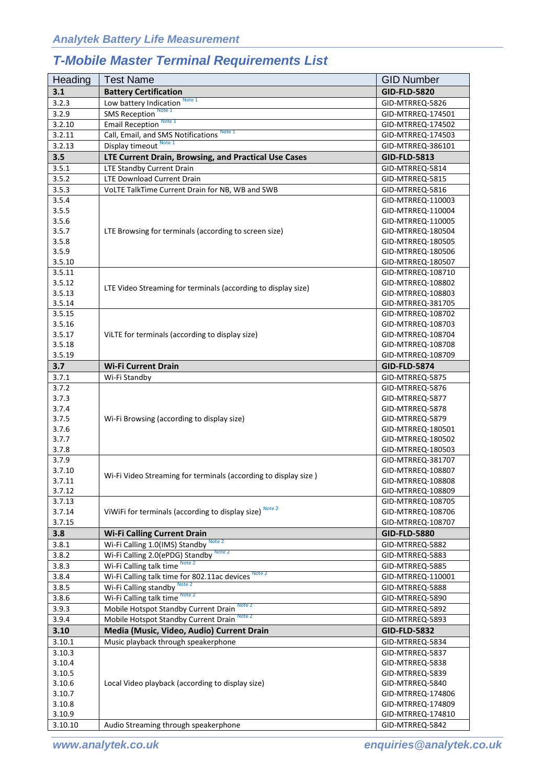# *T-Mobile Master Terminal Requirements List*

| Heading          | <b>Test Name</b>                                                            | <b>GID Number</b>                      |
|------------------|-----------------------------------------------------------------------------|----------------------------------------|
| 3.1              | <b>Battery Certification</b>                                                | <b>GID-FLD-5820</b>                    |
| 3.2.3            | Note 1<br>Low battery Indication                                            | GID-MTRREQ-5826                        |
| 3.2.9            | Note 1<br><b>SMS Reception</b>                                              | GID-MTRREQ-174501                      |
| 3.2.10           | <b>Email Reception</b> Note 1                                               | GID-MTRREQ-174502                      |
| 3.2.11           | Note 1<br>Call, Email, and SMS Notifications                                | GID-MTRREQ-174503                      |
| 3.2.13           | Display timeout Note 1                                                      | GID-MTRREQ-386101                      |
| 3.5              | LTE Current Drain, Browsing, and Practical Use Cases                        | <b>GID-FLD-5813</b>                    |
| 3.5.1            | LTE Standby Current Drain                                                   | GID-MTRREQ-5814                        |
| 3.5.2            | <b>LTE Download Current Drain</b>                                           | GID-MTRREQ-5815                        |
| 3.5.3            | VoLTE TalkTime Current Drain for NB, WB and SWB                             | GID-MTRREQ-5816                        |
| 3.5.4            |                                                                             | GID-MTRREQ-110003                      |
| 3.5.5            |                                                                             | GID-MTRREQ-110004                      |
| 3.5.6            |                                                                             | GID-MTRREQ-110005                      |
| 3.5.7            | LTE Browsing for terminals (according to screen size)                       | GID-MTRREQ-180504                      |
| 3.5.8            |                                                                             | GID-MTRREQ-180505                      |
| 3.5.9            |                                                                             | GID-MTRREQ-180506                      |
| 3.5.10           |                                                                             | GID-MTRREQ-180507                      |
| 3.5.11           |                                                                             | GID-MTRREQ-108710                      |
| 3.5.12           |                                                                             | GID-MTRREQ-108802                      |
| 3.5.13           | LTE Video Streaming for terminals (according to display size)               | GID-MTRREQ-108803                      |
| 3.5.14           |                                                                             | GID-MTRREQ-381705                      |
| 3.5.15           |                                                                             | GID-MTRREQ-108702                      |
| 3.5.16           |                                                                             | GID-MTRREQ-108703                      |
| 3.5.17           | ViLTE for terminals (according to display size)                             | GID-MTRREQ-108704                      |
| 3.5.18           |                                                                             | GID-MTRREQ-108708                      |
| 3.5.19           |                                                                             | GID-MTRREQ-108709                      |
| 3.7              | <b>Wi-Fi Current Drain</b>                                                  | <b>GID-FLD-5874</b>                    |
| 3.7.1            | Wi-Fi Standby                                                               | GID-MTRREQ-5875                        |
| 3.7.2            |                                                                             | GID-MTRREQ-5876                        |
| 3.7.3            |                                                                             | GID-MTRREQ-5877                        |
| 3.7.4            |                                                                             | GID-MTRREQ-5878                        |
| 3.7.5            | Wi-Fi Browsing (according to display size)                                  | GID-MTRREQ-5879                        |
| 3.7.6            |                                                                             | GID-MTRREQ-180501                      |
| 3.7.7            |                                                                             | GID-MTRREQ-180502                      |
| 3.7.8            |                                                                             | GID-MTRREQ-180503                      |
| 3.7.9            |                                                                             | GID-MTRREQ-381707                      |
| 3.7.10           | Wi-Fi Video Streaming for terminals (according to display size)             | GID-MTRREQ-108807                      |
| 3.7.11           |                                                                             | GID-MTRREQ-108808                      |
| 3.7.12           |                                                                             | GID-MTRREQ-108809                      |
| 3.7.13           | ViWiFi for terminals (according to display size) Note 2                     | GID-MTRREQ-108705                      |
| 3.7.14<br>3.7.15 |                                                                             | GID-MTRREQ-108706<br>GID-MTRREQ-108707 |
|                  |                                                                             |                                        |
| 3.8              | <b>Wi-Fi Calling Current Drain</b><br>Wi-Fi Calling 1.0(IMS) Standby Note 2 | <b>GID-FLD-5880</b>                    |
| 3.8.1            | Wi-Fi Calling 2.0(ePDG) Standby Note 2                                      | GID-MTRREQ-5882                        |
| 3.8.2<br>3.8.3   | Wi-Fi Calling talk time Note 2                                              | GID-MTRREQ-5883<br>GID-MTRREQ-5885     |
|                  | Wi-Fi Calling talk time for 802.11ac devices Note 2                         |                                        |
| 3.8.4            | Wi-Fi Calling standby Note 2                                                | GID-MTRREQ-110001                      |
| 3.8.5            | Wi-Fi Calling talk time Note 2                                              | GID-MTRREQ-5888                        |
| 3.8.6            |                                                                             | GID-MTRREQ-5890                        |
| 3.9.3            | Mobile Hotspot Standby Current Drain                                        | GID-MTRREQ-5892                        |
| 3.9.4            | Mobile Hotspot Standby Current Drain                                        | GID-MTRREQ-5893                        |
| 3.10             | Media (Music, Video, Audio) Current Drain                                   | <b>GID-FLD-5832</b>                    |
| 3.10.1           | Music playback through speakerphone                                         | GID-MTRREQ-5834                        |
| 3.10.3           |                                                                             | GID-MTRREQ-5837                        |
| 3.10.4           |                                                                             | GID-MTRREQ-5838                        |
| 3.10.5           | Local Video playback (according to display size)                            | GID-MTRREQ-5839<br>GID-MTRREQ-5840     |
| 3.10.6<br>3.10.7 |                                                                             | GID-MTRREQ-174806                      |
| 3.10.8           |                                                                             | GID-MTRREQ-174809                      |
| 3.10.9           |                                                                             | GID-MTRREQ-174810                      |
| 3.10.10          | Audio Streaming through speakerphone                                        | GID-MTRREQ-5842                        |
|                  |                                                                             |                                        |